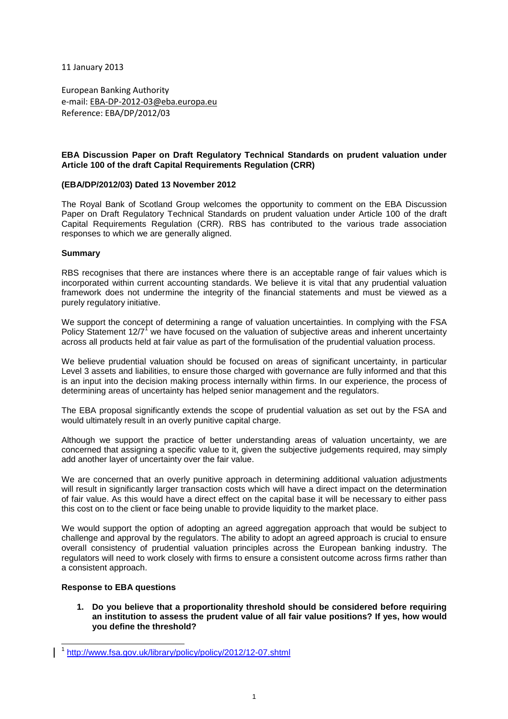11 January 2013

European Banking Authority e-mail: EBA-DP-2012-03@eba.europa.eu Reference: EBA/DP/2012/03

# **EBA Discussion Paper on Draft Regulatory Technical Standards on prudent valuation under Article 100 of the draft Capital Requirements Regulation (CRR)**

# **(EBA/DP/2012/03) Dated 13 November 2012**

The Royal Bank of Scotland Group welcomes the opportunity to comment on the EBA Discussion Paper on Draft Regulatory Technical Standards on prudent valuation under Article 100 of the draft Capital Requirements Regulation (CRR). RBS has contributed to the various trade association responses to which we are generally aligned.

# **Summary**

RBS recognises that there are instances where there is an acceptable range of fair values which is incorporated within current accounting standards. We believe it is vital that any prudential valuation framework does not undermine the integrity of the financial statements and must be viewed as a purely regulatory initiative.

We support the concept of determining a range of valuation uncertainties. In complying with the FSA Policy Statement 12/7<sup>1</sup> we have focused on the valuation of subjective areas and inherent uncertainty across all products held at fair value as part of the formulisation of the prudential valuation process.

We believe prudential valuation should be focused on areas of significant uncertainty, in particular Level 3 assets and liabilities, to ensure those charged with governance are fully informed and that this is an input into the decision making process internally within firms. In our experience, the process of determining areas of uncertainty has helped senior management and the regulators.

The EBA proposal significantly extends the scope of prudential valuation as set out by the FSA and would ultimately result in an overly punitive capital charge.

Although we support the practice of better understanding areas of valuation uncertainty, we are concerned that assigning a specific value to it, given the subjective judgements required, may simply add another layer of uncertainty over the fair value.

We are concerned that an overly punitive approach in determining additional valuation adjustments will result in significantly larger transaction costs which will have a direct impact on the determination of fair value. As this would have a direct effect on the capital base it will be necessary to either pass this cost on to the client or face being unable to provide liquidity to the market place.

We would support the option of adopting an agreed aggregation approach that would be subject to challenge and approval by the regulators. The ability to adopt an agreed approach is crucial to ensure overall consistency of prudential valuation principles across the European banking industry. The regulators will need to work closely with firms to ensure a consistent outcome across firms rather than a consistent approach.

# **Response to EBA questions**

 $\overline{\phantom{a}}$ 

**1. Do you believe that a proportionality threshold should be considered before requiring an institution to assess the prudent value of all fair value positions? If yes, how would you define the threshold?** 

<sup>1</sup> http://www.fsa.gov.uk/library/policy/policy/2012/12-07.shtml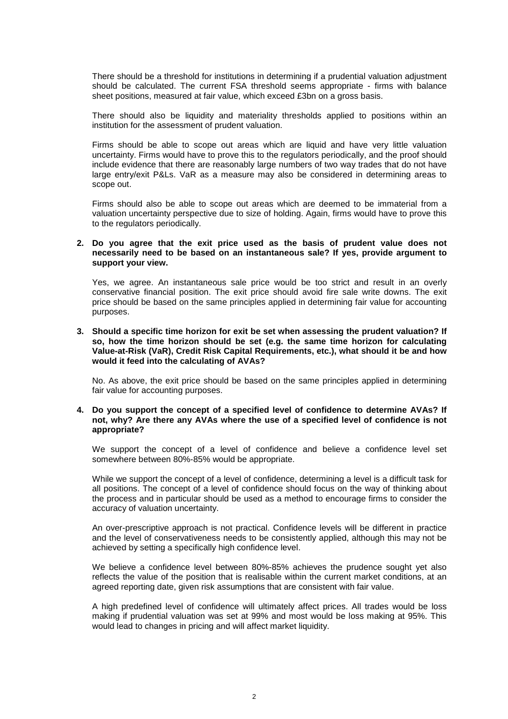There should be a threshold for institutions in determining if a prudential valuation adjustment should be calculated. The current FSA threshold seems appropriate - firms with balance sheet positions, measured at fair value, which exceed £3bn on a gross basis.

There should also be liquidity and materiality thresholds applied to positions within an institution for the assessment of prudent valuation.

Firms should be able to scope out areas which are liquid and have very little valuation uncertainty. Firms would have to prove this to the regulators periodically, and the proof should include evidence that there are reasonably large numbers of two way trades that do not have large entry/exit P&Ls. VaR as a measure may also be considered in determining areas to scope out.

Firms should also be able to scope out areas which are deemed to be immaterial from a valuation uncertainty perspective due to size of holding. Again, firms would have to prove this to the regulators periodically.

## **2. Do you agree that the exit price used as the basis of prudent value does not necessarily need to be based on an instantaneous sale? If yes, provide argument to support your view.**

Yes, we agree. An instantaneous sale price would be too strict and result in an overly conservative financial position. The exit price should avoid fire sale write downs. The exit price should be based on the same principles applied in determining fair value for accounting purposes.

## **3. Should a specific time horizon for exit be set when assessing the prudent valuation? If so, how the time horizon should be set (e.g. the same time horizon for calculating Value-at-Risk (VaR), Credit Risk Capital Requirements, etc.), what should it be and how would it feed into the calculating of AVAs?**

No. As above, the exit price should be based on the same principles applied in determining fair value for accounting purposes.

#### **4. Do you support the concept of a specified level of confidence to determine AVAs? If not, why? Are there any AVAs where the use of a specified level of confidence is not appropriate?**

We support the concept of a level of confidence and believe a confidence level set somewhere between 80%-85% would be appropriate.

While we support the concept of a level of confidence, determining a level is a difficult task for all positions. The concept of a level of confidence should focus on the way of thinking about the process and in particular should be used as a method to encourage firms to consider the accuracy of valuation uncertainty.

An over-prescriptive approach is not practical. Confidence levels will be different in practice and the level of conservativeness needs to be consistently applied, although this may not be achieved by setting a specifically high confidence level.

We believe a confidence level between 80%-85% achieves the prudence sought yet also reflects the value of the position that is realisable within the current market conditions, at an agreed reporting date, given risk assumptions that are consistent with fair value.

A high predefined level of confidence will ultimately affect prices. All trades would be loss making if prudential valuation was set at 99% and most would be loss making at 95%. This would lead to changes in pricing and will affect market liquidity.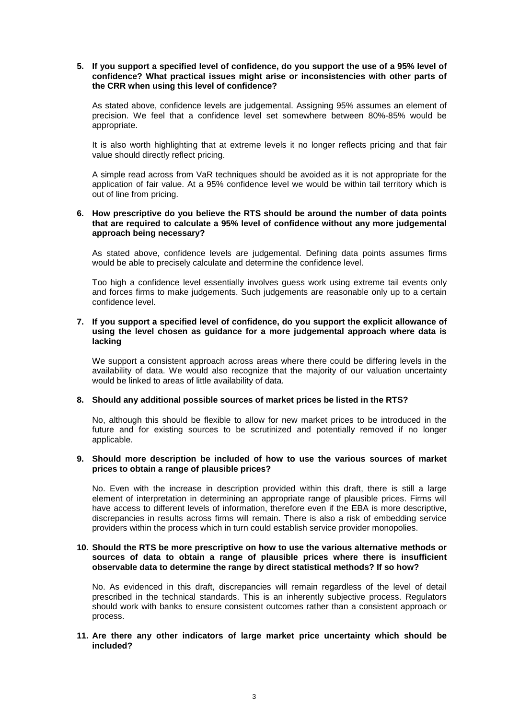## **5. If you support a specified level of confidence, do you support the use of a 95% level of confidence? What practical issues might arise or inconsistencies with other parts of the CRR when using this level of confidence?**

As stated above, confidence levels are judgemental. Assigning 95% assumes an element of precision. We feel that a confidence level set somewhere between 80%-85% would be appropriate.

It is also worth highlighting that at extreme levels it no longer reflects pricing and that fair value should directly reflect pricing.

A simple read across from VaR techniques should be avoided as it is not appropriate for the application of fair value. At a 95% confidence level we would be within tail territory which is out of line from pricing.

## **6. How prescriptive do you believe the RTS should be around the number of data points that are required to calculate a 95% level of confidence without any more judgemental approach being necessary?**

As stated above, confidence levels are judgemental. Defining data points assumes firms would be able to precisely calculate and determine the confidence level.

Too high a confidence level essentially involves guess work using extreme tail events only and forces firms to make judgements. Such judgements are reasonable only up to a certain confidence level.

## **7. If you support a specified level of confidence, do you support the explicit allowance of using the level chosen as guidance for a more judgemental approach where data is lacking**

We support a consistent approach across areas where there could be differing levels in the availability of data. We would also recognize that the majority of our valuation uncertainty would be linked to areas of little availability of data.

## **8. Should any additional possible sources of market prices be listed in the RTS?**

No, although this should be flexible to allow for new market prices to be introduced in the future and for existing sources to be scrutinized and potentially removed if no longer applicable.

## **9. Should more description be included of how to use the various sources of market prices to obtain a range of plausible prices?**

No. Even with the increase in description provided within this draft, there is still a large element of interpretation in determining an appropriate range of plausible prices. Firms will have access to different levels of information, therefore even if the EBA is more descriptive, discrepancies in results across firms will remain. There is also a risk of embedding service providers within the process which in turn could establish service provider monopolies.

#### **10. Should the RTS be more prescriptive on how to use the various alternative methods or sources of data to obtain a range of plausible prices where there is insufficient observable data to determine the range by direct statistical methods? If so how?**

No. As evidenced in this draft, discrepancies will remain regardless of the level of detail prescribed in the technical standards. This is an inherently subjective process. Regulators should work with banks to ensure consistent outcomes rather than a consistent approach or process.

## **11. Are there any other indicators of large market price uncertainty which should be included?**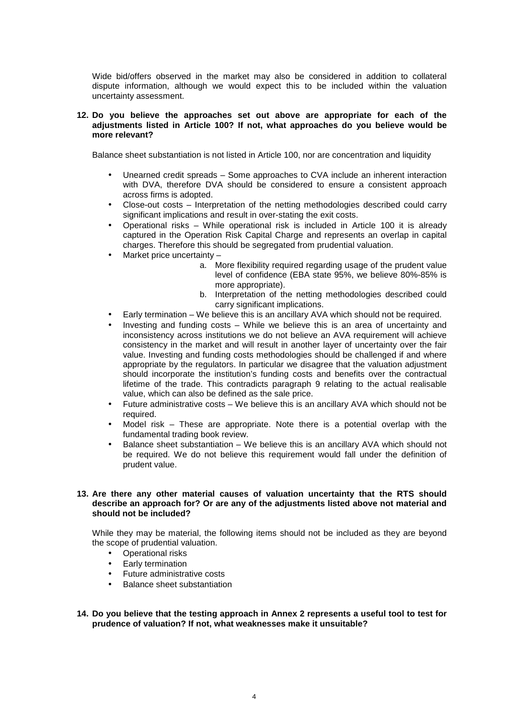Wide bid/offers observed in the market may also be considered in addition to collateral dispute information, although we would expect this to be included within the valuation uncertainty assessment.

## **12. Do you believe the approaches set out above are appropriate for each of the adjustments listed in Article 100? If not, what approaches do you believe would be more relevant?**

Balance sheet substantiation is not listed in Article 100, nor are concentration and liquidity

- Unearned credit spreads Some approaches to CVA include an inherent interaction with DVA, therefore DVA should be considered to ensure a consistent approach across firms is adopted.
- Close-out costs Interpretation of the netting methodologies described could carry significant implications and result in over-stating the exit costs.
- Operational risks While operational risk is included in Article 100 it is already captured in the Operation Risk Capital Charge and represents an overlap in capital charges. Therefore this should be segregated from prudential valuation.
- Market price uncertainty
	- a. More flexibility required regarding usage of the prudent value level of confidence (EBA state 95%, we believe 80%-85% is more appropriate).
	- b. Interpretation of the netting methodologies described could carry significant implications.
- Early termination We believe this is an ancillary AVA which should not be required.
- Investing and funding costs While we believe this is an area of uncertainty and inconsistency across institutions we do not believe an AVA requirement will achieve consistency in the market and will result in another layer of uncertainty over the fair value. Investing and funding costs methodologies should be challenged if and where appropriate by the regulators. In particular we disagree that the valuation adjustment should incorporate the institution's funding costs and benefits over the contractual lifetime of the trade. This contradicts paragraph 9 relating to the actual realisable value, which can also be defined as the sale price.
- Future administrative costs We believe this is an ancillary AVA which should not be required.
- Model risk These are appropriate. Note there is a potential overlap with the fundamental trading book review.
- Balance sheet substantiation We believe this is an ancillary AVA which should not be required. We do not believe this requirement would fall under the definition of prudent value.

#### **13. Are there any other material causes of valuation uncertainty that the RTS should describe an approach for? Or are any of the adjustments listed above not material and should not be included?**

While they may be material, the following items should not be included as they are beyond the scope of prudential valuation.

- Operational risks
- Early termination
- Future administrative costs
- Balance sheet substantiation
- **14. Do you believe that the testing approach in Annex 2 represents a useful tool to test for prudence of valuation? If not, what weaknesses make it unsuitable?**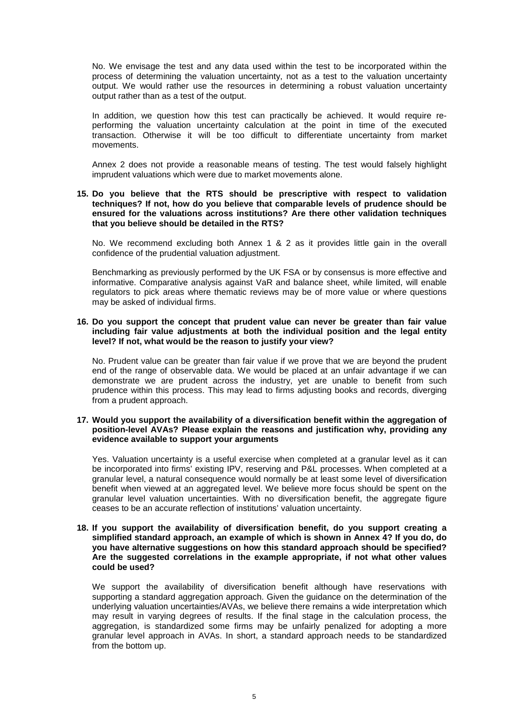No. We envisage the test and any data used within the test to be incorporated within the process of determining the valuation uncertainty, not as a test to the valuation uncertainty output. We would rather use the resources in determining a robust valuation uncertainty output rather than as a test of the output.

In addition, we question how this test can practically be achieved. It would require reperforming the valuation uncertainty calculation at the point in time of the executed transaction. Otherwise it will be too difficult to differentiate uncertainty from market movements.

Annex 2 does not provide a reasonable means of testing. The test would falsely highlight imprudent valuations which were due to market movements alone.

#### **15. Do you believe that the RTS should be prescriptive with respect to validation techniques? If not, how do you believe that comparable levels of prudence should be ensured for the valuations across institutions? Are there other validation techniques that you believe should be detailed in the RTS?**

No. We recommend excluding both Annex 1 & 2 as it provides little gain in the overall confidence of the prudential valuation adjustment.

Benchmarking as previously performed by the UK FSA or by consensus is more effective and informative. Comparative analysis against VaR and balance sheet, while limited, will enable regulators to pick areas where thematic reviews may be of more value or where questions may be asked of individual firms.

## **16. Do you support the concept that prudent value can never be greater than fair value including fair value adjustments at both the individual position and the legal entity level? If not, what would be the reason to justify your view?**

No. Prudent value can be greater than fair value if we prove that we are beyond the prudent end of the range of observable data. We would be placed at an unfair advantage if we can demonstrate we are prudent across the industry, yet are unable to benefit from such prudence within this process. This may lead to firms adjusting books and records, diverging from a prudent approach.

# **17. Would you support the availability of a diversification benefit within the aggregation of position-level AVAs? Please explain the reasons and justification why, providing any evidence available to support your arguments**

Yes. Valuation uncertainty is a useful exercise when completed at a granular level as it can be incorporated into firms' existing IPV, reserving and P&L processes. When completed at a granular level, a natural consequence would normally be at least some level of diversification benefit when viewed at an aggregated level. We believe more focus should be spent on the granular level valuation uncertainties. With no diversification benefit, the aggregate figure ceases to be an accurate reflection of institutions' valuation uncertainty.

## **18. If you support the availability of diversification benefit, do you support creating a simplified standard approach, an example of which is shown in Annex 4? If you do, do you have alternative suggestions on how this standard approach should be specified? Are the suggested correlations in the example appropriate, if not what other values could be used?**

We support the availability of diversification benefit although have reservations with supporting a standard aggregation approach. Given the guidance on the determination of the underlying valuation uncertainties/AVAs, we believe there remains a wide interpretation which may result in varying degrees of results. If the final stage in the calculation process, the aggregation, is standardized some firms may be unfairly penalized for adopting a more granular level approach in AVAs. In short, a standard approach needs to be standardized from the bottom up.